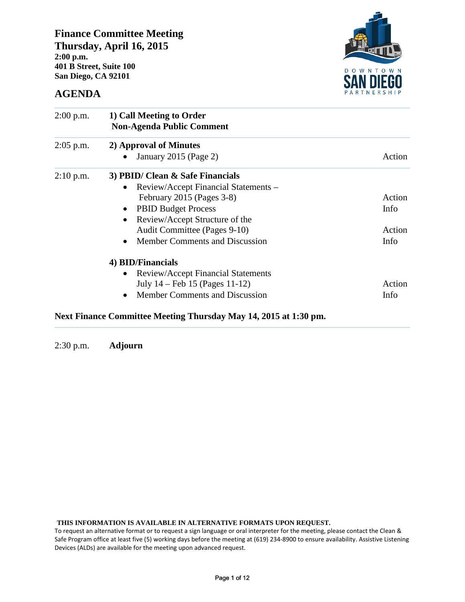**Finance Committee Meeting Thursday, April 16, 2015 2:00 p.m. 401 B Street, Suite 100 San Diego, CA 92101** 



## **AGENDA**

| $2:00$ p.m. | 1) Call Meeting to Order<br><b>Non-Agenda Public Comment</b> |        |  |  |  |  |  |  |
|-------------|--------------------------------------------------------------|--------|--|--|--|--|--|--|
| $2:05$ p.m. | 2) Approval of Minutes                                       |        |  |  |  |  |  |  |
|             | January 2015 (Page 2)                                        | Action |  |  |  |  |  |  |
| $2:10$ p.m. | 3) PBID/ Clean & Safe Financials                             |        |  |  |  |  |  |  |
|             | Review/Accept Financial Statements -<br>$\bullet$            |        |  |  |  |  |  |  |
|             | February 2015 (Pages 3-8)                                    | Action |  |  |  |  |  |  |
|             | <b>PBID Budget Process</b><br>$\bullet$                      | Info   |  |  |  |  |  |  |
|             | Review/Accept Structure of the                               |        |  |  |  |  |  |  |
|             | Audit Committee (Pages 9-10)                                 | Action |  |  |  |  |  |  |
|             | <b>Member Comments and Discussion</b>                        | Info   |  |  |  |  |  |  |
|             | 4) BID/Financials                                            |        |  |  |  |  |  |  |
|             | <b>Review/Accept Financial Statements</b>                    |        |  |  |  |  |  |  |
|             | July $14 - \text{Feb } 15$ (Pages $11-12$ )                  | Action |  |  |  |  |  |  |
|             | Member Comments and Discussion                               | Info   |  |  |  |  |  |  |

#### **Next Finance Committee Meeting Thursday May 14, 2015 at 1:30 pm.**

2:30 p.m. **Adjourn**

**THIS INFORMATION IS AVAILABLE IN ALTERNATIVE FORMATS UPON REQUEST.** 

To request an alternative format or to request a sign language or oral interpreter for the meeting, please contact the Clean & Safe Program office at least five (5) working days before the meeting at (619) 234-8900 to ensure availability. Assistive Listening Devices (ALDs) are available for the meeting upon advanced request.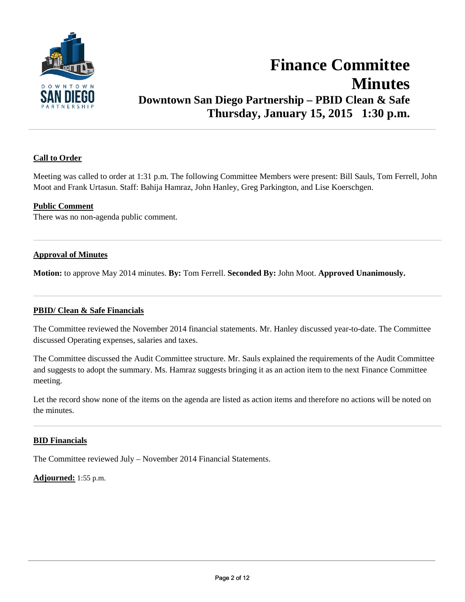

## **Finance Committee Minutes Downtown San Diego Partnership – PBID Clean & Safe Thursday, January 15, 2015 1:30 p.m.**

#### **Call to Order**

Meeting was called to order at 1:31 p.m. The following Committee Members were present: Bill Sauls, Tom Ferrell, John Moot and Frank Urtasun. Staff: Bahija Hamraz, John Hanley, Greg Parkington, and Lise Koerschgen.

#### **Public Comment**

There was no non-agenda public comment.

#### **Approval of Minutes**

**Motion:** to approve May 2014 minutes. **By:** Tom Ferrell. **Seconded By:** John Moot. **Approved Unanimously.**

#### **PBID/ Clean & Safe Financials**

The Committee reviewed the November 2014 financial statements. Mr. Hanley discussed year-to-date. The Committee discussed Operating expenses, salaries and taxes.

The Committee discussed the Audit Committee structure. Mr. Sauls explained the requirements of the Audit Committee and suggests to adopt the summary. Ms. Hamraz suggests bringing it as an action item to the next Finance Committee meeting.

Let the record show none of the items on the agenda are listed as action items and therefore no actions will be noted on the minutes.

#### **BID Financials**

The Committee reviewed July – November 2014 Financial Statements.

**Adjourned:** 1:55 p.m.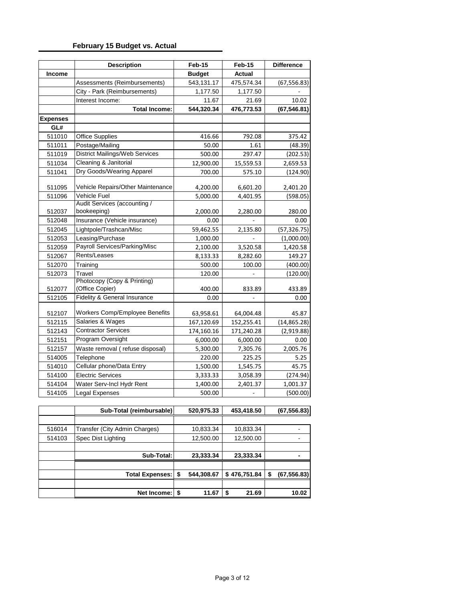### **February 15 Budget vs. Actual**

|                 | <b>Description</b>                             | Feb-15        | Feb-15        | <b>Difference</b> |
|-----------------|------------------------------------------------|---------------|---------------|-------------------|
| <b>Income</b>   |                                                | <b>Budget</b> | <b>Actual</b> |                   |
|                 | Assessments (Reimbursements)                   | 543,131.17    | 475,574.34    | (67, 556.83)      |
|                 | City - Park (Reimbursements)                   | 1,177.50      | 1,177.50      |                   |
|                 | Interest Income:                               | 11.67         | 21.69         | 10.02             |
|                 | <b>Total Income:</b>                           | 544,320.34    | 476,773.53    | (67, 546.81)      |
| <b>Expenses</b> |                                                |               |               |                   |
| GL#             |                                                |               |               |                   |
| 511010          | <b>Office Supplies</b>                         | 416.66        | 792.08        | 375.42            |
| 511011          | Postage/Mailing                                | 50.00         | 1.61          | (48.39)           |
| 511019          | <b>District Mailings/Web Services</b>          | 500.00        | 297.47        | (202.53)          |
| 511034          | Cleaning & Janitorial                          | 12,900.00     | 15,559.53     | 2,659.53          |
| 511041          | Dry Goods/Wearing Apparel                      | 700.00        | 575.10        | (124.90)          |
| 511095          | Vehicle Repairs/Other Maintenance              | 4,200.00      | 6,601.20      | 2,401.20          |
| 511096          | Vehicle Fuel                                   | 5,000.00      | 4,401.95      | (598.05)          |
|                 | Audit Services (accounting /                   |               |               |                   |
| 512037          | bookeeping)                                    | 2,000.00      | 2,280.00      | 280.00            |
| 512048          | Insurance (Vehicle insurance)                  | 0.00          |               | 0.00              |
| 512045          | Lightpole/Trashcan/Misc                        | 59,462.55     | 2,135.80      | (57, 326.75)      |
| 512053          | Leasing/Purchase                               | 1,000.00      |               | (1,000.00)        |
| 512059          | Payroll Services/Parking/Misc                  | 2,100.00      | 3,520.58      | 1,420.58          |
| 512067          | Rents/Leases                                   | 8,133.33      | 8,282.60      | 149.27            |
| 512070          | Training                                       | 500.00        | 100.00        | (400.00)          |
| 512073          | Travel                                         | 120.00        |               | (120.00)          |
| 512077          | Photocopy (Copy & Printing)<br>(Office Copier) | 400.00        | 833.89        | 433.89            |
| 512105          | <b>Fidelity &amp; General Insurance</b>        | 0.00          | ÷,            | 0.00              |
|                 |                                                |               |               |                   |
| 512107          | Workers Comp/Employee Benefits                 | 63,958.61     | 64,004.48     | 45.87             |
| 512115          | Salaries & Wages                               | 167,120.69    | 152,255.41    | (14, 865.28)      |
| 512143          | <b>Contractor Services</b>                     | 174,160.16    | 171,240.28    | (2,919.88)        |
| 512151          | Program Oversight                              | 6,000.00      | 6,000.00      | 0.00              |
| 512157          | Waste removal (refuse disposal)                | 5,300.00      | 7,305.76      | 2,005.76          |
| 514005          | Telephone                                      | 220.00        | 225.25        | 5.25              |
| 514010          | Cellular phone/Data Entry                      | 1,500.00      | 1,545.75      | 45.75             |
| 514100          | <b>Electric Services</b>                       | 3,333.33      | 3,058.39      | (274.94)          |
| 514104          | Water Serv-Incl Hydr Rent                      | 1,400.00      | 2,401.37      | 1,001.37          |
| 514105          | Legal Expenses                                 | 500.00        |               | (500.00)          |

|        | Sub-Total (reimbursable)      | 520,975.33       | 453,418.50   | (67, 556.83) |
|--------|-------------------------------|------------------|--------------|--------------|
|        |                               |                  |              |              |
| 516014 | Transfer (City Admin Charges) | 10,833.34        | 10,833.34    |              |
| 514103 | Spec Dist Lighting            | 12,500.00        | 12,500.00    |              |
|        |                               |                  |              |              |
|        | Sub-Total:                    | 23,333.34        | 23,333.34    |              |
|        |                               |                  |              |              |
|        | <b>Total Expenses:</b>        | \$<br>544,308.67 | \$476,751.84 | (67,556.83)  |
|        |                               |                  |              |              |
|        | Net Income:                   | \$<br>11.67      | \$<br>21.69  | 10.02        |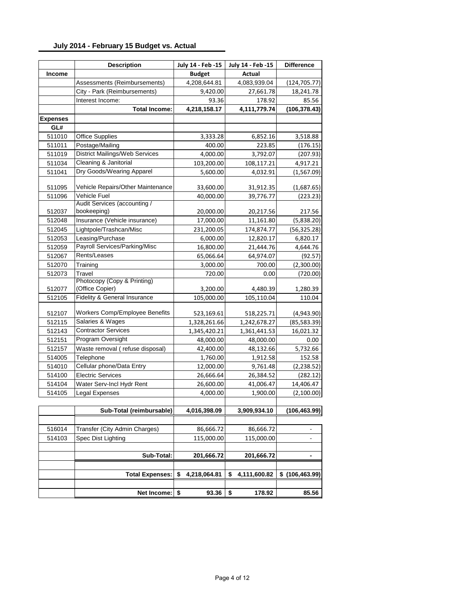#### **July 2014 - February 15 Budget vs. Actual**

|                 | <b>Description</b>                    | July 14 - Feb -15  | July 14 - Feb -15  | <b>Difference</b>        |
|-----------------|---------------------------------------|--------------------|--------------------|--------------------------|
| <b>Income</b>   |                                       | <b>Budget</b>      | <b>Actual</b>      |                          |
|                 | Assessments (Reimbursements)          | 4,208,644.81       | 4,083,939.04       | (124, 705.77)            |
|                 | City - Park (Reimbursements)          | 9,420.00           | 27,661.78          | 18,241.78                |
|                 | Interest Income:                      | 93.36              | 178.92             | 85.56                    |
|                 | <b>Total Income:</b>                  | 4,218,158.17       | 4,111,779.74       | (106, 378.43)            |
| <b>Expenses</b> |                                       |                    |                    |                          |
| GL#             |                                       |                    |                    |                          |
| 511010          | <b>Office Supplies</b>                | 3,333.28           | 6,852.16           | 3,518.88                 |
| 511011          | Postage/Mailing                       | 400.00             | 223.85             | (176.15)                 |
| 511019          | <b>District Mailings/Web Services</b> | 4,000.00           | 3,792.07           | (207.93)                 |
| 511034          | Cleaning & Janitorial                 | 103,200.00         | 108,117.21         | 4,917.21                 |
| 511041          | Dry Goods/Wearing Apparel             | 5,600.00           | 4,032.91           | (1,567.09)               |
| 511095          | Vehicle Repairs/Other Maintenance     | 33,600.00          | 31,912.35          | (1,687.65)               |
| 511096          | Vehicle Fuel                          | 40,000.00          | 39,776.77          | (223.23)                 |
|                 | Audit Services (accounting /          |                    |                    |                          |
| 512037          | bookeeping)                           | 20,000.00          | 20,217.56          | 217.56                   |
| 512048          | Insurance (Vehicle insurance)         | 17,000.00          | 11,161.80          | (5,838.20)               |
| 512045          | Lightpole/Trashcan/Misc               | 231,200.05         | 174,874.77         | (56, 325.28)             |
| 512053          | Leasing/Purchase                      | 6,000.00           | 12,820.17          | 6,820.17                 |
| 512059          | Payroll Services/Parking/Misc         | 16,800.00          | 21,444.76          | 4,644.76                 |
| 512067          | Rents/Leases                          | 65,066.64          | 64,974.07          | (92.57)                  |
| 512070          | Training                              | 3,000.00           | 700.00             | (2,300.00)               |
| 512073          | Travel                                | 720.00             | 0.00               | (720.00)                 |
|                 | Photocopy (Copy & Printing)           |                    |                    |                          |
| 512077          | (Office Copier)                       | 3,200.00           | 4,480.39           | 1,280.39                 |
| 512105          | Fidelity & General Insurance          | 105,000.00         | 105,110.04         | 110.04                   |
| 512107          | Workers Comp/Employee Benefits        | 523,169.61         | 518,225.71         | (4,943.90)               |
| 512115          | Salaries & Wages                      | 1,328,261.66       | 1,242,678.27       | (85,583.39)              |
| 512143          | <b>Contractor Services</b>            | 1,345,420.21       | 1,361,441.53       | 16,021.32                |
| 512151          | Program Oversight                     | 48,000.00          | 48,000.00          | 0.00                     |
| 512157          | Waste removal (refuse disposal)       | 42,400.00          | 48,132.66          | 5,732.66                 |
| 514005          | Telephone                             | 1,760.00           | 1,912.58           | 152.58                   |
| 514010          | Cellular phone/Data Entry             | 12,000.00          | 9,761.48           | (2, 238.52)              |
| 514100          | <b>Electric Services</b>              | 26,666.64          | 26,384.52          | (282.12)                 |
| 514104          | Water Serv-Incl Hydr Rent             | 26,600.00          | 41,006.47          | 14,406.47                |
| 514105          | Legal Expenses                        | 4,000.00           | 1,900.00           | (2,100.00)               |
|                 |                                       |                    |                    |                          |
|                 | Sub-Total (reimbursable)              | 4,016,398.09       | 3,909,934.10       | (106,463.99)             |
|                 |                                       |                    |                    |                          |
| 516014          | Transfer (City Admin Charges)         | 86,666.72          | 86,666.72          |                          |
| 514103          | Spec Dist Lighting                    | 115,000.00         | 115,000.00         | $\overline{\phantom{a}}$ |
|                 | Sub-Total:                            | 201,666.72         | 201,666.72         | ٠                        |
|                 |                                       |                    |                    |                          |
|                 | <b>Total Expenses:</b>                | \$<br>4,218,064.81 | \$<br>4,111,600.82 | \$(106,463.99)           |
|                 |                                       |                    |                    |                          |
|                 | Net Income:                           | \$<br>93.36        | \$<br>178.92       | 85.56                    |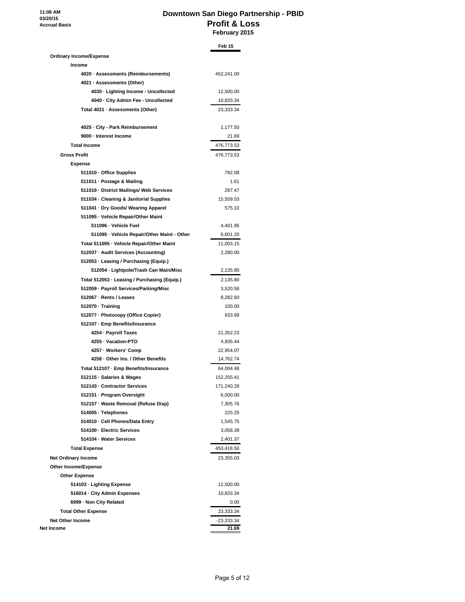**11:08 AM 03/20/15 Accrual Basis**

#### **Downtown San Diego Partnership - PBID Profit & Loss February 2015**

|                                                                                   | Feb 15                |
|-----------------------------------------------------------------------------------|-----------------------|
| <b>Ordinary Income/Expense</b>                                                    |                       |
| Income                                                                            |                       |
| 4020 · Assessments (Reimbursements)                                               | 452,241.00            |
| 4021 · Assessments (Other)                                                        |                       |
| 4030 · Lighting Income - Uncollected                                              | 12,500.00             |
| 4040 - City Admin Fee - Uncollected                                               | 10,833.34             |
| Total 4021 · Assessments (Other)                                                  | 23,333.34             |
| 4025 - City - Park Reimbursement                                                  | 1,177.50              |
| 9000 - Interest Income                                                            | 21.69                 |
| <b>Total Income</b>                                                               | 476,773.53            |
| <b>Gross Profit</b>                                                               | 476,773.53            |
| <b>Expense</b>                                                                    |                       |
| 511010 · Office Supplies                                                          | 792.08                |
| 511011 · Postage & Mailing                                                        | 1.61                  |
| 511019 - District Mailings/ Web Services                                          | 297.47                |
| 511034 - Cleaning & Janitorial Supplies                                           | 15,559.53             |
| 511041 · Dry Goods/ Wearing Apparel                                               | 575.10                |
| 511095 - Vehicle Repair/Other Maint                                               |                       |
| 511096 - Vehicle Fuel                                                             | 4,401.95              |
| 511095 - Vehicle Repair/Other Maint - Other                                       | 6,601.20              |
|                                                                                   |                       |
| Total 511095 - Vehicle Repair/Other Maint<br>512037 - Audit Services (Accounting) | 11,003.15             |
| 512053 · Leasing / Purchasing (Equip.)                                            | 2,280.00              |
|                                                                                   |                       |
| 512054 - Lightpole/Trash Can Main/Misc                                            | 2,135.80              |
| Total 512053 - Leasing / Purchasing (Equip.)                                      | 2,135.80              |
| 512059 - Payroll Services/Parking/Misc                                            | 3,520.58              |
| 512067 - Rents / Leases                                                           | 8,282.60              |
| 512070 · Training                                                                 | 100.00                |
| 512077 - Photocopy (Office Copier)                                                | 833.89                |
| 512107 - Emp Benefits/Insurance                                                   |                       |
| 4254 - Payroll Taxes<br>4255 · Vacation-PTO                                       | 21,352.23             |
|                                                                                   | 4,935.44              |
| 4257 - Workers' Comp<br>4258 - Other Ins. / Other Benefits                        | 22,954.07             |
|                                                                                   | 14,762.74             |
| Total 512107 - Emp Benefits/Insurance                                             | 64,004.48             |
| 512115 · Salaries & Wages                                                         | 152,255.41            |
| 512143 - Contractor Services                                                      | 171,240.28            |
| 512151 - Program Oversight                                                        | 6,000.00              |
| 512157 - Waste Removal (Refuse Disp)                                              | 7,305.76              |
| 514005 · Telephones                                                               | 225.25                |
| 514010 · Cell Phones/Data Entry                                                   | 1,545.75              |
| 514100 - Electric Services<br>514104 · Water Services                             | 3,058.39              |
|                                                                                   | 2,401.37              |
| <b>Total Expense</b>                                                              | 453,418.50            |
| <b>Net Ordinary Income</b>                                                        | 23,355.03             |
| Other Income/Expense                                                              |                       |
| <b>Other Expense</b>                                                              |                       |
| 514103 · Lighting Expense                                                         | 12,500.00             |
| 516014 - City Admin Expenses                                                      | 10,833.34             |
| 6999 · Non City Related                                                           | 0.00                  |
| <b>Total Other Expense</b>                                                        | 23,333.34             |
| <b>Net Other Income</b><br>Net Income                                             | $-23,333.34$<br>21.69 |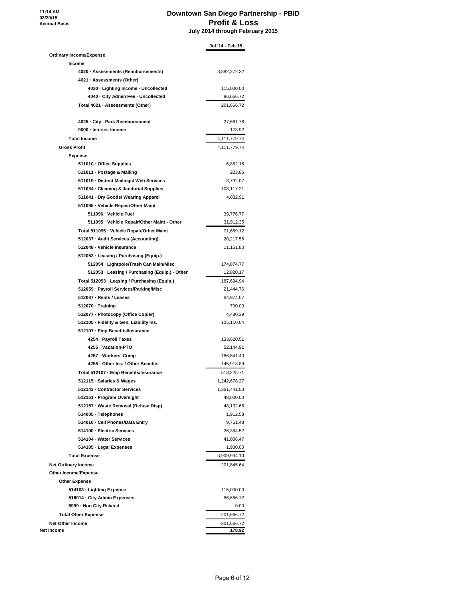**11:14 AM 03/20/15 Accrual Basis**

#### **Downtown San Diego Partnership - PBID Profit & Loss July 2014 through February 2015**

|                                                                    | Jul '14 - Feb 15          |
|--------------------------------------------------------------------|---------------------------|
| <b>Ordinary Income/Expense</b>                                     |                           |
| Income                                                             |                           |
| 4020 · Assessments (Reimbursements)                                | 3,882,272.32              |
| 4021 · Assessments (Other)                                         |                           |
| 4030 · Lighting Income - Uncollected                               | 115,000.00                |
| 4040 · City Admin Fee - Uncollected                                | 86,666.72                 |
| Total 4021 · Assessments (Other)                                   | 201,666.72                |
| 4025 · City - Park Reimbursement                                   | 27,661.78                 |
| 9000 - Interest Income                                             | 178.92                    |
| <b>Total Income</b>                                                | 4,111,779.74              |
| <b>Gross Profit</b>                                                | 4,111,779.74              |
| <b>Expense</b>                                                     |                           |
| 511010 · Office Supplies                                           | 6,852.16                  |
| 511011 · Postage & Mailing                                         | 223.85                    |
| 511019 - District Mailings/ Web Services                           | 3,792.07                  |
| 511034 · Cleaning & Janitorial Supplies                            | 108,117.21                |
| 511041 · Dry Goods/ Wearing Apparel                                | 4,032.91                  |
| 511095 · Vehicle Repair/Other Maint                                |                           |
| 511096 - Vehicle Fuel                                              | 39,776.77                 |
| 511095 - Vehicle Repair/Other Maint - Other                        | 31,912.35                 |
| Total 511095 - Vehicle Repair/Other Maint                          | 71,689.12                 |
| 512037 - Audit Services (Accounting)                               | 20,217.56                 |
| 512048 · Vehicle Insurance                                         | 11,161.80                 |
| 512053 · Leasing / Purchasing (Equip.)                             |                           |
| 512054 - Lightpole/Trash Can Main/Misc                             | 174,874.77                |
| 512053 · Leasing / Purchasing (Equip.) - Other                     | 12,820.17                 |
| Total 512053 · Leasing / Purchasing (Equip.)                       | 187,694.94                |
| 512059 · Payroll Services/Parking/Misc                             | 21,444.76                 |
| 512067 - Rents / Leases                                            | 64,974.07                 |
| 512070 · Training                                                  | 700.00                    |
| 512077 - Photocopy (Office Copier)                                 | 4,480.39                  |
| 512105 · Fidelity & Gen. Liability Ins.                            | 105,110.04                |
| 512107 · Emp Benefits/Insurance                                    |                           |
| 4254 - Payroll Taxes                                               | 133,620.51                |
| 4255 · Vacation-PTO                                                | 52,144.91                 |
| 4257 · Workers' Comp                                               | 186,541.40                |
| 4258 · Other Ins. / Other Benefits                                 | 145,918.89                |
| Total 512107 - Emp Benefits/Insurance                              | 518,225.71                |
| 512115 · Salaries & Wages                                          |                           |
|                                                                    | 1,242,678.27              |
| 512143 - Contractor Services                                       | 1,361,441.53<br>48,000.00 |
| 512151 - Program Oversight<br>512157 · Waste Removal (Refuse Disp) | 48,132.66                 |
|                                                                    |                           |
| 514005 · Telephones                                                | 1,912.58                  |
| 514010 - Cell Phones/Data Entry                                    | 9,761.48                  |
| 514100 - Electric Services                                         | 26,384.52                 |
| 514104 - Water Services                                            | 41,006.47                 |
| 514105 · Legal Expenses                                            | 1,900.00                  |
| <b>Total Expense</b>                                               | 3,909,934.10              |
| <b>Net Ordinary Income</b>                                         | 201,845.64                |
| Other Income/Expense                                               |                           |
| <b>Other Expense</b>                                               |                           |
| 514103 · Lighting Expense                                          | 115,000.00                |
| 516014 · City Admin Expenses                                       | 86,666.72                 |
| 6999 · Non City Related                                            | 0.00                      |
| <b>Total Other Expense</b>                                         | 201,666.72                |
| <b>Net Other Income</b>                                            | $-201,666.72$             |
| Net Income                                                         | 178.92                    |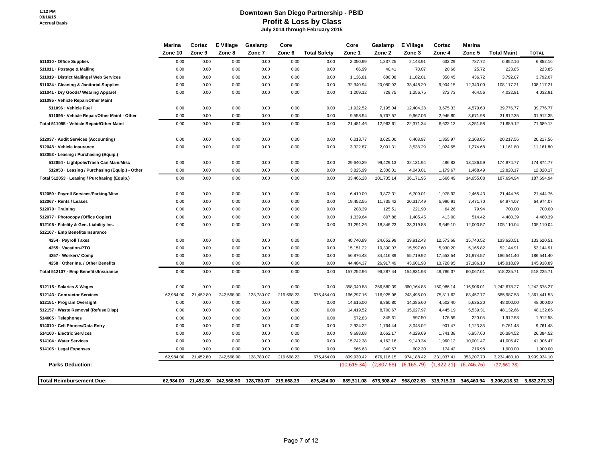#### **Downtown San Diego Partnership - PBID Profit & Loss by Class July 2014 through February 2015**

|                                                | Marina    | Cortez    | E Village             | Gaslamp    | Core       |                     | Core        | Gaslamp    | <b>E</b> Village | Cortez     | <b>Marina</b> |                    |              |
|------------------------------------------------|-----------|-----------|-----------------------|------------|------------|---------------------|-------------|------------|------------------|------------|---------------|--------------------|--------------|
|                                                | Zone 10   | Zone 9    | Zone 8                | Zone 7     | Zone 6     | <b>Total Safety</b> | Zone 1      | Zone 2     | Zone 3           | Zone 4     | Zone 5        | <b>Total Maint</b> | <b>TOTAL</b> |
| 511010 - Office Supplies                       | 0.00      | 0.00      | 0.00                  | 0.00       | 0.00       | 0.00                | 2,050.99    | 1,237.25   | 2,143.91         | 632.29     | 787.72        | 6,852.16           | 6,852.16     |
| 511011 - Postage & Mailing                     | 0.00      | 0.00      | 0.00                  | 0.00       | 0.00       | 0.00                | 66.99       | 40.41      | 70.07            | 20.66      | 25.72         | 223.85             | 223.85       |
| 511019 - District Mailings/ Web Services       | 0.00      | 0.00      | 0.00                  | 0.00       | 0.00       | 0.00                | 1,136.81    | 686.08     | 1,182.01         | 350.45     | 436.72        | 3,792.07           | 3,792.07     |
| 511034 - Cleaning & Janitorial Supplies        | 0.00      | 0.00      | 0.00                  | 0.00       | 0.00       | 0.00                | 32,340.94   | 20,080.92  | 33,448.20        | 9,904.15   | 12,343.00     | 108,117.21         | 108,117.21   |
| 511041 · Dry Goods/ Wearing Apparel            | 0.00      | 0.00      | 0.00                  | 0.00       | 0.00       | 0.00                | 1,209.12    | 729.75     | 1,256.75         | 372.73     | 464.56        | 4,032.91           | 4,032.91     |
| 511095 - Vehicle Repair/Other Maint            |           |           |                       |            |            |                     |             |            |                  |            |               |                    |              |
| 511096 - Vehicle Fuel                          | 0.00      | 0.00      | 0.00                  | 0.00       | 0.00       | 0.00                | 11,922.52   | 7,195.04   | 12,404.28        | 3,675.33   | 4,579.60      | 39,776.77          | 39,776.77    |
| 511095 - Vehicle Repair/Other Maint - Other    | 0.00      | 0.00      | 0.00                  | 0.00       | 0.00       | 0.00                | 9,558.94    | 5,767.57   | 9,967.06         | 2,946.80   | 3,671.98      | 31,912.35          | 31,912.35    |
| Total 511095 - Vehicle Repair/Other Maint      | 0.00      | 0.00      | 0.00                  | 0.00       | 0.00       | 0.00                | 21,481.46   | 12,962.61  | 22,371.34        | 6,622.13   | 8,251.58      | 71,689.12          | 71,689.12    |
| 512037 - Audit Services (Accounting)           | 0.00      | 0.00      | 0.00                  | 0.00       | 0.00       | 0.00                | 6,018.77    | 3,625.00   | 6,408.97         | 1,855.97   | 2,308.85      | 20,217.56          | 20,217.56    |
| 512048 - Vehicle Insurance                     | 0.00      | 0.00      | 0.00                  | 0.00       | 0.00       | 0.00                | 3,322.87    | 2,001.31   | 3,538.29         | 1,024.65   | 1,274.68      | 11,161.80          | 11,161.80    |
| 512053 - Leasing / Purchasing (Equip.)         |           |           |                       |            |            |                     |             |            |                  |            |               |                    |              |
| 512054 - Lightpole/Trash Can Main/Misc         | 0.00      | 0.00      | 0.00                  | 0.00       | 0.00       | 0.00                | 29,640.29   | 99,429.13  | 32,131.94        | 486.82     | 13,186.59     | 174,874.77         | 174,874.77   |
| 512053 - Leasing / Purchasing (Equip.) - Other | 0.00      | 0.00      | 0.00                  | 0.00       | 0.00       | 0.00                | 3,825.99    | 2,306.01   | 4,040.01         | 1,179.67   | 1,468.49      | 12,820.17          | 12,820.17    |
| Total 512053 - Leasing / Purchasing (Equip.)   | 0.00      | 0.00      | 0.00                  | 0.00       | 0.00       | 0.00                | 33,466.28   | 101,735.14 | 36,171.95        | 1,666.49   | 14,655.08     | 187,694.94         | 187,694.94   |
| 512059 - Payroll Services/Parking/Misc         | 0.00      | 0.00      | 0.00                  | 0.00       | 0.00       | 0.00                | 6,419.09    | 3,872.31   | 6,709.01         | 1,978.92   | 2,465.43      | 21,444.76          | 21,444.76    |
| 512067 - Rents / Leases                        | 0.00      | 0.00      | 0.00                  | 0.00       | 0.00       | 0.00                | 19,452.55   | 11,735.42  | 20,317.49        | 5,996.91   | 7,471.70      | 64,974.07          | 64,974.07    |
| 512070 Training                                | 0.00      | 0.00      | 0.00                  | 0.00       | 0.00       | 0.00                | 208.39      | 125.51     | 221.90           | 64.26      | 79.94         | 700.00             | 700.00       |
| 512077 - Photocopy (Office Copier)             | 0.00      | 0.00      | 0.00                  | 0.00       | 0.00       | 0.00                | 1,339.64    | 807.88     | 1,405.45         | 413.00     | 514.42        | 4,480.39           | 4,480.39     |
| 512105 - Fidelity & Gen. Liability Ins.        | 0.00      | 0.00      | 0.00                  | 0.00       | 0.00       | 0.00                | 31,291.26   | 18,846.23  | 33,319.88        | 9,649.10   | 12,003.57     | 105,110.04         | 105,110.04   |
| 512107 - Emp Benefits/Insurance                |           |           |                       |            |            |                     |             |            |                  |            |               |                    |              |
| 4254 - Payroll Taxes                           | 0.00      | 0.00      | 0.00                  | 0.00       | 0.00       | 0.00                | 40,740.89   | 24,652.99  | 39,912.43        | 12,573.68  | 15,740.52     | 133,620.51         | 133,620.51   |
| 4255 - Vacation-PTO                            | 0.00      | 0.00      | 0.00                  | 0.00       | 0.00       | 0.00                | 15,151.22   | 10,300.07  | 15,597.60        | 5,930.20   | 5,165.82      | 52,144.91          | 52,144.91    |
| 4257 - Workers' Comp                           | 0.00      | 0.00      | 0.00                  | 0.00       | 0.00       | 0.00                | 56,876.48   | 34,416.89  | 55,719.92        | 17,553.54  | 21,974.57     | 186,541.40         | 186,541.40   |
| 4258 - Other Ins. / Other Benefits             | 0.00      | 0.00      | 0.00                  | 0.00       | 0.00       | 0.00                | 44,484.37   | 26,917.49  | 43,601.98        | 13,728.95  | 17,186.10     | 145,918.89         | 145,918.89   |
| Total 512107 - Emp Benefits/Insurance          | 0.00      | 0.00      | 0.00                  | 0.00       | 0.00       | 0.00                | 157,252.96  | 96,287.44  | 154,831.93       | 49,786.37  | 60,067.01     | 518,225.71         | 518,225.71   |
| 512115 · Salaries & Wages                      | 0.00      | 0.00      | 0.00                  | 0.00       | 0.00       | 0.00                | 358,040.88  | 256,580.39 | 360,164.85       | 150,986.14 | 116,906.01    | 1,242,678.27       | 1,242,678.27 |
| 512143 - Contractor Services                   | 62,984.00 | 21,452.80 | 242,568.90            | 128,780.07 | 219,668.23 | 675,454.00          | 166,297.16  | 116,925.98 | 243,495.00       | 75,811.62  | 83,457.77     | 685,987.53         | 1,361,441.53 |
| 512151 Program Oversight                       | 0.00      | 0.00      | 0.00                  | 0.00       | 0.00       | 0.00                | 14,616.00   | 8,860.80   | 14,385.60        | 4,502.40   | 5,635.20      | 48,000.00          | 48,000.00    |
| 512157 - Waste Removal (Refuse Disp)           | 0.00      | 0.00      | 0.00                  | 0.00       | 0.00       | 0.00                | 14,419.52   | 8,700.67   | 15,027.97        | 4,445.19   | 5,539.31      | 48,132.66          | 48,132.66    |
| 514005 - Telephones                            | 0.00      | 0.00      | 0.00                  | 0.00       | 0.00       | 0.00                | 572.83      | 345.61     | 597.50           | 176.59     | 220.05        | 1,912.58           | 1,912.58     |
| 514010 - Cell Phones/Data Entry                | 0.00      | 0.00      | 0.00                  | 0.00       | 0.00       | 0.00                | 2,924.22    | 1,764.44   | 3,048.02         | 901.47     | 1,123.33      | 9,761.48           | 9,761.48     |
| 514100 - Electric Services                     | 0.00      | 0.00      | 0.00                  | 0.00       | 0.00       | 0.00                | 9,693.68    | 3,662.17   | 4,329.69         | 1,741.38   | 6,957.60      | 26,384.52          | 26,384.52    |
| 514104 - Water Services                        | 0.00      | 0.00      | 0.00                  | 0.00       | 0.00       | 0.00                | 15,742.38   | 4,162.16   | 9,140.34         | 1,960.12   | 10,001.47     | 41,006.47          | 41,006.47    |
| 514105 - Legal Expenses                        | 0.00      | 0.00      | 0.00                  | 0.00       | 0.00       | 0.00                | 565.63      | 340.67     | 602.30           | 174.42     | 216.98        | 1,900.00           | 1,900.00     |
|                                                | 62.984.00 | 21,452.80 | 242,568.90            | 128,780.07 | 219,668.23 | 675,454.00          | 899,930.42  | 676,116.15 | 974,188.42       | 331,037.41 | 353,207.70    | 3,234,480.10       | 3,909,934.10 |
| <b>Parks Deduction:</b>                        |           |           |                       |            |            |                     | (10,619.34) | (2,807.68) | (6, 165.79)      | (1,322.21) | (6,746.76)    | (27,661.78)        |              |
| <b>Total Reimbursement Due:</b>                | 62.984.00 | 21,452.80 | 242,568.90 128,780.07 |            | 219.668.23 | 675.454.00          | 889.311.08  | 673.308.47 | 968.022.63       | 329.715.20 | 346.460.94    | 3,206,818.32       | 3,882,272.32 |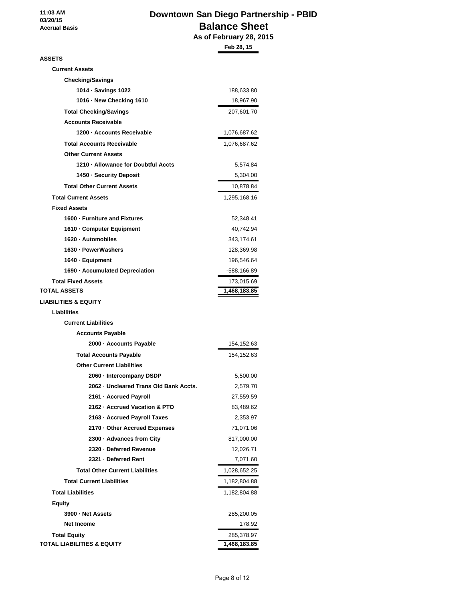**11:03 AM 03/20/15 Accrual Basis**

## **Downtown San Diego Partnership - PBID Balance Sheet Priville**<br>TV 28, 2015

|                                        | As of February 28, 201 |
|----------------------------------------|------------------------|
|                                        | Feb 28, 15             |
| <b>ASSETS</b>                          |                        |
| <b>Current Assets</b>                  |                        |
| <b>Checking/Savings</b>                |                        |
| 1014 · Savings 1022                    | 188,633.80             |
| 1016 - New Checking 1610               | 18,967.90              |
| <b>Total Checking/Savings</b>          | 207,601.70             |
| <b>Accounts Receivable</b>             |                        |
| 1200 - Accounts Receivable             | 1,076,687.62           |
| <b>Total Accounts Receivable</b>       | 1,076,687.62           |
| <b>Other Current Assets</b>            |                        |
| 1210 - Allowance for Doubtful Accts    | 5,574.84               |
| 1450 - Security Deposit                | 5,304.00               |
| <b>Total Other Current Assets</b>      | 10,878.84              |
| <b>Total Current Assets</b>            | 1,295,168.16           |
| <b>Fixed Assets</b>                    |                        |
| 1600 - Furniture and Fixtures          | 52,348.41              |
| 1610 - Computer Equipment              | 40,742.94              |
| 1620 · Automobiles                     | 343,174.61             |
| 1630 - PowerWashers                    | 128,369.98             |
| 1640 · Equipment                       | 196,546.64             |
| 1690 - Accumulated Depreciation        | -588,166.89            |
| <b>Total Fixed Assets</b>              | 173,015.69             |
| <b>TOTAL ASSETS</b>                    | 1,468,183.85           |
| <b>LIABILITIES &amp; EQUITY</b>        |                        |
| <b>Liabilities</b>                     |                        |
| <b>Current Liabilities</b>             |                        |
| <b>Accounts Payable</b>                |                        |
| 2000 - Accounts Payable                | 154,152.63             |
| <b>Total Accounts Payable</b>          | 154,152.63             |
| <b>Other Current Liabilities</b>       |                        |
| 2060 - Intercompany DSDP               | 5,500.00               |
| 2062 · Uncleared Trans Old Bank Accts. | 2,579.70               |
| 2161 · Accrued Payroll                 | 27,559.59              |
| 2162 · Accrued Vacation & PTO          | 83,489.62              |
| 2163 - Accrued Payroll Taxes           | 2,353.97               |
| 2170 - Other Accrued Expenses          | 71,071.06              |
| 2300 · Advances from City              | 817,000.00             |
| 2320 - Deferred Revenue                | 12,026.71              |
| 2321 - Deferred Rent                   | 7,071.60               |
| <b>Total Other Current Liabilities</b> | 1,028,652.25           |
| <b>Total Current Liabilities</b>       | 1,182,804.88           |
| <b>Total Liabilities</b>               | 1,182,804.88           |
| <b>Equity</b>                          |                        |
| 3900 - Net Assets                      | 285,200.05             |
| <b>Net Income</b>                      | 178.92                 |
| <b>Total Equity</b>                    | 285,378.97             |
| <b>TOTAL LIABILITIES &amp; EQUITY</b>  | 1,468,183.85           |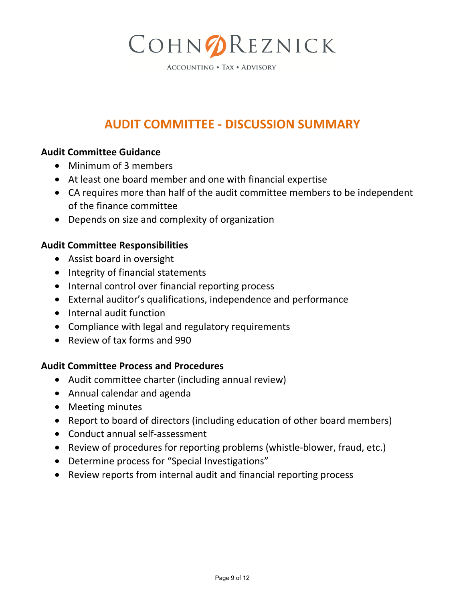# COHNOREZNICK

**ACCOUNTING . TAX . ADVISORY** 

## **AUDIT COMMITTEE - DISCUSSION SUMMARY**

## **Audit Committee Guidance**

- Minimum of 3 members
- At least one board member and one with financial expertise
- CA requires more than half of the audit committee members to be independent of the finance committee
- Depends on size and complexity of organization

## **Audit Committee Responsibilities**

- Assist board in oversight
- Integrity of financial statements
- Internal control over financial reporting process
- External auditor's qualifications, independence and performance
- Internal audit function
- Compliance with legal and regulatory requirements
- Review of tax forms and 990

## **Audit Committee Process and Procedures**

- Audit committee charter (including annual review)
- Annual calendar and agenda
- Meeting minutes
- Report to board of directors (including education of other board members)
- Conduct annual self-assessment
- Review of procedures for reporting problems (whistle-blower, fraud, etc.)
- Determine process for "Special Investigations"
- Review reports from internal audit and financial reporting process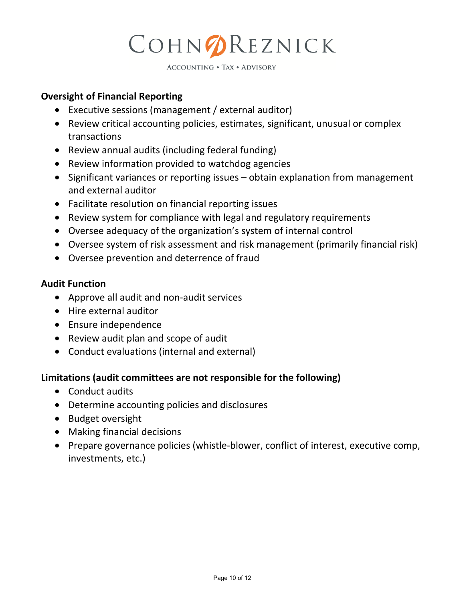# COHNOREZNICK

**ACCOUNTING . TAX . ADVISORY** 

## **Oversight of Financial Reporting**

- Executive sessions (management / external auditor)
- Review critical accounting policies, estimates, significant, unusual or complex transactions
- Review annual audits (including federal funding)
- Review information provided to watchdog agencies
- Significant variances or reporting issues obtain explanation from management and external auditor
- Facilitate resolution on financial reporting issues
- Review system for compliance with legal and regulatory requirements
- Oversee adequacy of the organization's system of internal control
- Oversee system of risk assessment and risk management (primarily financial risk)
- Oversee prevention and deterrence of fraud

## **Audit Function**

- Approve all audit and non-audit services
- Hire external auditor
- Ensure independence
- Review audit plan and scope of audit
- Conduct evaluations (internal and external)

## **Limitations (audit committees are not responsible for the following)**

- Conduct audits
- Determine accounting policies and disclosures
- Budget oversight
- Making financial decisions
- Prepare governance policies (whistle-blower, conflict of interest, executive comp, investments, etc.)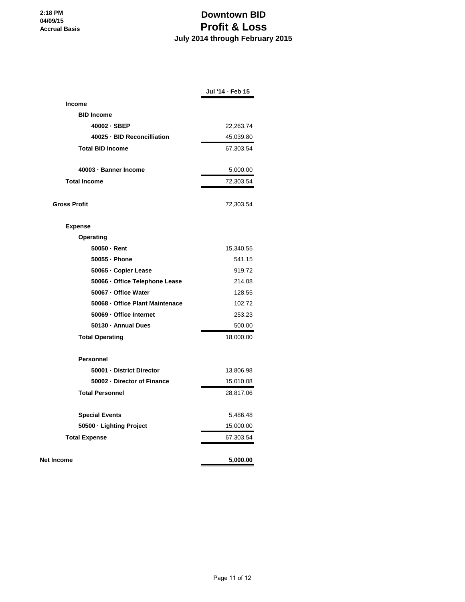## **Downtown BID Profit & Loss July 2014 through February 2015**

|                                 | Jul '14 - Feb 15 |
|---------------------------------|------------------|
| <b>Income</b>                   |                  |
| <b>BID Income</b>               |                  |
| 40002 · SBEP                    | 22,263.74        |
| 40025 · BID Reconcilliation     | 45,039.80        |
| <b>Total BID Income</b>         | 67,303.54        |
| 40003 · Banner Income           | 5,000.00         |
| <b>Total Income</b>             | 72,303.54        |
| <b>Gross Profit</b>             | 72,303.54        |
| <b>Expense</b>                  |                  |
| Operating                       |                  |
| $50050 -$ Rent                  | 15,340.55        |
| 50055 · Phone                   | 541.15           |
| 50065 - Copier Lease            | 919.72           |
| 50066 · Office Telephone Lease  | 214.08           |
| 50067 - Office Water            | 128.55           |
| 50068 - Office Plant Maintenace | 102.72           |
| 50069 · Office Internet         | 253.23           |
| 50130 · Annual Dues             | 500.00           |
| <b>Total Operating</b>          | 18,000.00        |
| <b>Personnel</b>                |                  |
| 50001 - District Director       | 13,806.98        |
| 50002 - Director of Finance     | 15,010.08        |
| <b>Total Personnel</b>          | 28,817.06        |
| <b>Special Events</b>           | 5,486.48         |
| 50500 - Lighting Project        | 15,000.00        |
| <b>Total Expense</b>            | 67,303.54        |
| <b>Net Income</b>               | 5,000.00         |